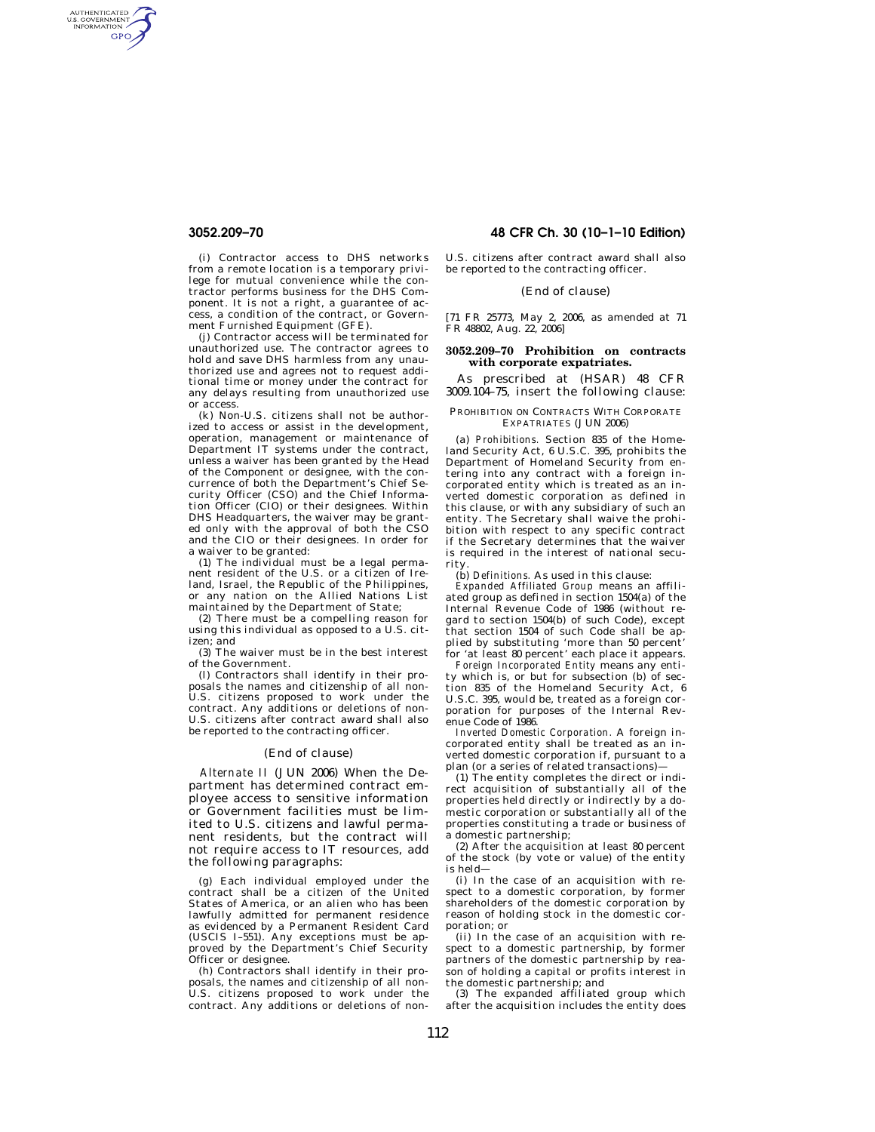AUTHENTICATED<br>U.S. GOVERNMENT<br>INFORMATION **GPO** 

> (i) Contractor access to DHS networks from a remote location is a temporary privilege for mutual convenience while the contractor performs business for the DHS Component. It is not a right, a guarantee of access, a condition of the contract, or Government Furnished Equipment (GFE).

> (j) Contractor access will be terminated for unauthorized use. The contractor agrees to hold and save DHS harmless from any unauthorized use and agrees not to request additional time or money under the contract for any delays resulting from unauthorized use or access.

> (k) Non-U.S. citizens shall not be authorized to access or assist in the development, operation, management or maintenance of Department IT systems under the contract, unless a waiver has been granted by the Head of the Component or designee, with the concurrence of both the Department's Chief Security Officer (CSO) and the Chief Information Officer (CIO) or their designees. Within DHS Headquarters, the waiver may be granted only with the approval of both the CSO and the CIO or their designees. In order for a waiver to be granted:

> (1) The individual must be a legal permanent resident of the U.S. or a citizen of Ireland, Israel, the Republic of the Philippines, or any nation on the Allied Nations List maintained by the Department of State;

> (2) There must be a compelling reason for using this individual as opposed to a U.S. citizen; and

> (3) The waiver must be in the best interest of the Government.

> (l) Contractors shall identify in their proposals the names and citizenship of all non-U.S. citizens proposed to work under the contract. Any additions or deletions of non-U.S. citizens after contract award shall also be reported to the contracting officer.

# (End of clause)

*Alternate II* (JUN 2006) When the Department has determined contract employee access to sensitive information or Government facilities must be limited to U.S. citizens and lawful permanent residents, but the contract will not require access to IT resources, add the following paragraphs:

(g) Each individual employed under the contract shall be a citizen of the United States of America, or an alien who has been lawfully admitted for permanent residence as evidenced by a Permanent Resident Card (USCIS I–551). Any exceptions must be ap-proved by the Department's Chief Security Officer or designee.

(h) Contractors shall identify in their proposals, the names and citizenship of all non-U.S. citizens proposed to work under the contract. Any additions or deletions of non-

**3052.209–70 48 CFR Ch. 30 (10–1–10 Edition)** 

U.S. citizens after contract award shall also be reported to the contracting officer.

## (End of clause)

[71 FR 25773, May 2, 2006, as amended at 71 FR 48802, Aug. 22, 2006]

### **3052.209–70 Prohibition on contracts with corporate expatriates.**

As prescribed at (HSAR) 48 CFR 3009.104–75, insert the following clause:

PROHIBITION ON CONTRACTS WITH CORPORATE EXPATRIATES (JUN 2006)

(a) *Prohibitions.* Section 835 of the Home-land Security Act, 6 U.S.C. 395, prohibits the Department of Homeland Security from entering into any contract with a foreign incorporated entity which is treated as an inverted domestic corporation as defined in this clause, or with any subsidiary of such an entity. The Secretary shall waive the prohibition with respect to any specific contract if the Secretary determines that the waiver is required in the interest of national security.

(b) *Definitions.* As used in this clause: *Expanded Affiliated Group* means an affiliated group as defined in section 1504(a) of the Internal Revenue Code of 1986 (without regard to section 1504(b) of such Code), except that section 1504 of such Code shall be applied by substituting 'more than 50 percent' for 'at least 80 percent' each place it appears.

*Foreign Incorporated Entity* means any entity which is, or but for subsection (b) of section 835 of the Homeland Security Act, 6 U.S.C. 395, would be, treated as a foreign corporation for purposes of the Internal Revenue Code of 1986.

*Inverted Domestic Corporation.* A foreign incorporated entity shall be treated as an inverted domestic corporation if, pursuant to a plan (or a series of related transactions)—

(1) The entity completes the direct or indirect acquisition of substantially all of the properties held directly or indirectly by a domestic corporation or substantially all of the properties constituting a trade or business of a domestic partnership;

 $(2)$  After the acquisition at least 80 percent of the stock (by vote or value) of the entity is held—

(i) In the case of an acquisition with respect to a domestic corporation, by former shareholders of the domestic corporation by reason of holding stock in the domestic corporation; or

(ii) In the case of an acquisition with respect to a domestic partnership, by former partners of the domestic partnership by reason of holding a capital or profits interest in the domestic partnership; and

(3) The expanded affiliated group which after the acquisition includes the entity does